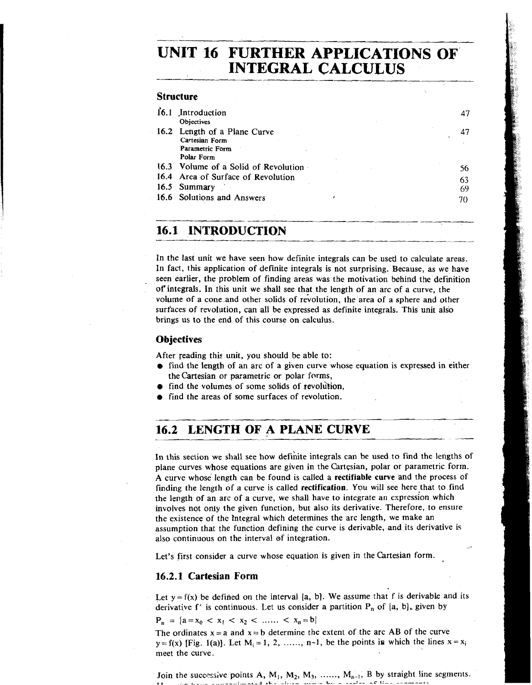# **UNIT 16 FURTHER APPLICATIONS OF INTEGRAL CALCULUS**

## **Structure**

| 16.1 | Introduction                         | 47 |
|------|--------------------------------------|----|
|      | <b>Objectives</b>                    |    |
|      | 16.2 Length of a Plane Curve         | 47 |
|      | Cartesian Form                       |    |
|      | Parametric Form                      |    |
|      | Polar Form                           |    |
|      | 16.3 Volume of a Solid of Revolution | 56 |
|      | 16.4 Area of Surface of Revolution   | 63 |
|      | 16.5 Summary                         | 69 |
|      | 16.6 Solutions and Answers           | 70 |
|      |                                      |    |
|      |                                      |    |

# **6.1 INTRODUCTION**

In the last unit we have seen how definite integrals can be used to calculate areas. In fact, this application of definite integrals is not surprising. Because, as we have seen earlier, the problem of finding areas was the motivation behind the definition of integrals. In this unit we shall see that the length of an arc of a curve, the volume of a cone .and other solids of revolution, the area of a sphere and other surfaces of revolution, can all be expressed as definite integrals. This unit also brings us to the end of this course on calculus.

# **Objectives**

---

After reading thie unit, you should be able to:

- find the length of an arc of a given curve whose equation is expressed in either the Cartesian or parametric or polar forms,
- find the volumes of some solids of revolution,
- find the areas of some surfaces of revolution.

# **16.2 LENGTH OF A PLANE CURVE**  revolution,<br>revolution.<br>ANE CURVE

In this section we shall see how defihite integrals can be used to find the lengths of plane curves whose equations are given in the Cartesian, polar or parametric form. A curve whose length can be found is called a **rectifiable curve** and the process of finding the length of a curve is called *rectification*. You will see here that to find the length of an arc of a curve, we shall have to integrate an expression which involves not only the given function, but also its derivative. Therefore, to ensure the existence of the Integral which determines the arc length, we make an assumption that the function defining the curve is derivable, and its derivative is also continuous on the interval of integration.

Let's first consider a curve whose equation is given in the Cartesian form.

## **16.2.1 Cartesian Form**

Let  $y = f(x)$  be defined on the interval [a, b]. We assume that f is derivable and its derivative f' is continuous. Let us consider a partition  $P_n$  of [a, b], given by

 $P_n = {a = x_0 < x_1 < x_2 < \dots < x_n = b}$ 

The ordinates  $x = a$  and  $x = b$  determine the extent of the arc AB of the curve  $y = f(x)$  [Fig. 1(a)]. Let  $M_i = 1, 2, \ldots, n-1$ , be the points in which the lines  $x = x_i$ meet the curve.

Join the successive points A,  $M_1$ ,  $M_2$ ,  $M_3$ , ......,  $M_{n-1}$ , B by straight line segments.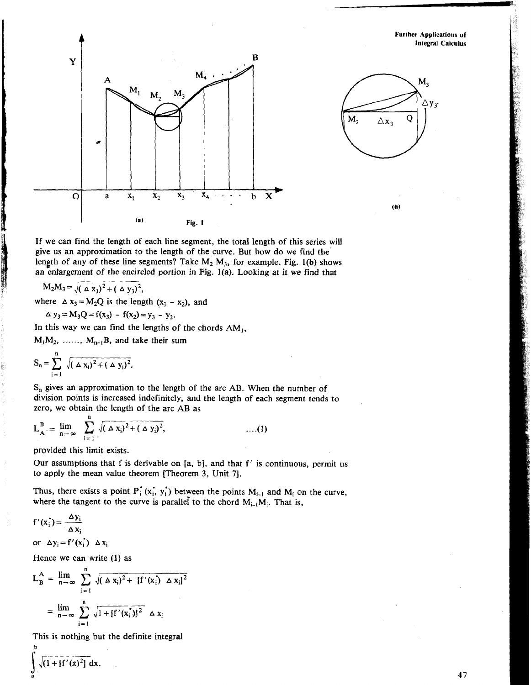**Further Applications of lnlegral Calculus** 





 $(b)$ 

If we can find the length of each line segment, the total length of this series will give us an approximation to the length of the curve. But how do we find the' length of any of these line segments? Take  $M_2$   $M_3$ , for example. Fig. 1(b) shows an enlargement of the encircled portion in **Fig. ](a).** Lookjng at it we find that

$$
M_2M_3 = \sqrt{(\Delta x_3)^2 + (\Delta y_3)^2},
$$

I

where  $\Delta x_3 = M_2 Q$  is the length  $(x_3 - x_2)$ , and

$$
\Delta y_3 = M_3 Q = f(x_3) - f(x_2) = y_3 - y_2.
$$

In this way we can find the lengths of the chords  $AM_1$ ,

 $M_1M_2$ , ......,  $M_{n-1}B$ , and take their sum

$$
S_n = \sum_{i=1}^n \sqrt{(\Delta x_i)^2 + (\Delta y_i)^2}.
$$

*S,* gives an approximation to the length of the arc **AB.** When the number of division points is increased indefinitely, and the length of each segment tends to zero, we obtain the length of the arc AB as<br>  $I^B = \lim_{h \to 0} \int_{h}^{h} \sqrt{(4x)^2 + (4x)^2}$  (1) zero, we obtain the length of the arc **AB** as

$$
L_A^B = \lim_{n \to \infty} \sum_{i=1}^n \sqrt{(\Delta x_i)^2 + (\Delta y_i)^2}, \qquad \qquad \dots (1)
$$

provided this limit exists.

Our assumptions that f is derivable on  $[a, b]$ , and that f' is continuous, permit us to apply the mean value theorem [Theorem 3, Unit **71.** 

Thus, there exists a point  $P_i^*(x_i, y_i)$  between the points  $M_{i-1}$  and  $M_i$  on the curve, where the tangent to the curve is parallel to the chord  $M_{i-1}M_i$ . That is,

$$
f'(x_i^*) = \frac{\Delta y_i}{\Delta x_i}
$$
  
or  $\Delta y_i = f'(x_i^*) \Delta x_i$ 

Hence we can write (1) as  
\n
$$
L_{B}^{A} = \lim_{n \to \infty} \sum_{i=1}^{n} \sqrt{(\Delta x_{i})^{2} + [f'(x_{i}) \Delta x_{i}]^{2}}
$$
\n
$$
= \lim_{n \to \infty} \sum_{i=1}^{n} \sqrt{1 + [f'(x_{i})]^{2}} \Delta x_{i}
$$

This is nothing but the definite integral

 $\sqrt{(1 + [f'(x)]^2)} dx$ .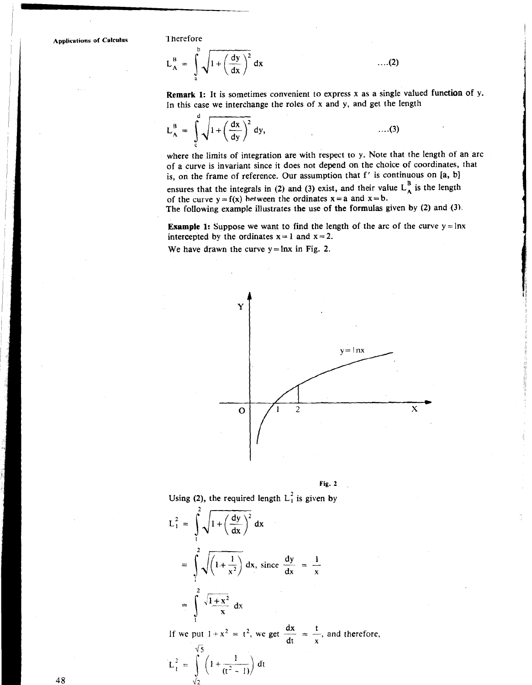$L_A^B = \int \sqrt{1 + \left(\frac{dy}{dx}\right)^2} dx$ 

Remark 1: It is sometimes convenient to express x as a single valued function of y. In this case we interchange the roles of x and y, and get the length

 $\dots(2)$ 

$$
L_A^B = \int_c^d \sqrt{1 + \left(\frac{dx}{dy}\right)^2} dy, \qquad \qquad \dots (3)
$$

where the limits of integration are with respect to y. Note that the length of an arc of a curve is invariant since it does not depend on the choice of coordinates, that is, on the frame of reference. Our assumption that f' is continuous on [a, b] ensures that the integrals in (2) and (3) exist, and their value  $L_A^-$  is the length of the curve  $y = f(x)$  hetween the ordinates  $x = a$  and  $x = b$ .

The folIowing example illustrates the use of the formulas given by (2) and **(3).** 

**Example 1:** Suppose we want to find the length of the arc of the curve  $y = \ln x$ intercepted by the ordinates  $x = 1$  and  $x = 2$ .

We have drawn the curve  $y = \ln x$  in Fig. 2.





Using (2), the required length L<sub>1</sub><sup>2</sup> is given by  
\n
$$
L_1^2 = \int_1^2 \sqrt{1 + \left(\frac{dy}{dx}\right)^2} dx
$$
\n
$$
= \int_1^2 \sqrt{1 + \frac{1}{x^2}} dx, \text{ since } \frac{dy}{dx} = \frac{1}{x}
$$
\n
$$
= \int_1^2 \sqrt{1 + x^2} dx
$$

If we put  $1 + x^2 = t^2$ , we get  $\frac{dx}{dt} = \frac{t}{x}$ , and therefore,

$$
L_1^2 = \int_{\sqrt{2}}^{\sqrt{5}} \left(1 + \frac{1}{(t^2 - 1)}\right) dt
$$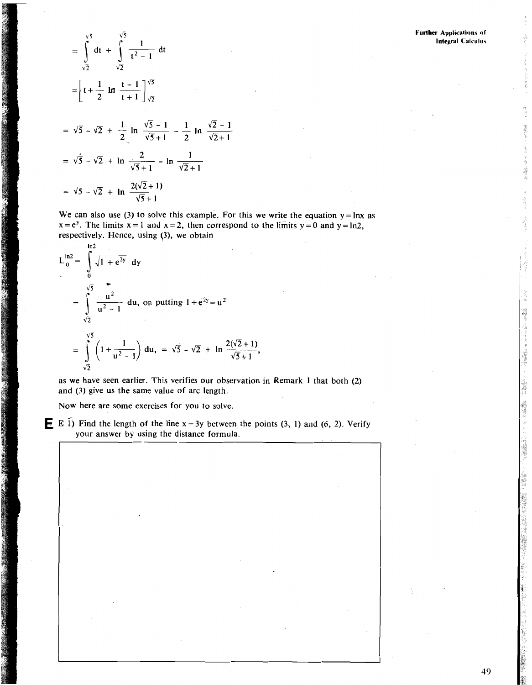**Further Applications of Integral Calculus** 

$$
= \int_{\sqrt{2}}^{\sqrt{3}} dt + \int_{\sqrt{2}}^{\sqrt{3}} \frac{1}{t^2 - 1} dt
$$
  

$$
= \left[ t + \frac{1}{2} \ln \frac{t - 1}{t + 1} \right]_{\sqrt{2}}^{\sqrt{5}}
$$
  

$$
= \sqrt{5} - \sqrt{2} + \frac{1}{2} \ln \frac{\sqrt{5} - 1}{\sqrt{5} + 1} - \frac{1}{2} \ln \frac{\sqrt{2} - 1}{\sqrt{2} + 1}
$$
  

$$
= \sqrt{5} - \sqrt{2} + \ln \frac{2}{\sqrt{5} + 1} - \ln \frac{1}{\sqrt{2} + 1}
$$
  

$$
= \sqrt{5} - \sqrt{2} + \ln \frac{2(\sqrt{2} + 1)}{\sqrt{5} + 1}
$$

**SHIPS ASSESSMENT** 

We can also use (3) to solve this example. For this we write the equation  $y = lnx$  as  $x = e^{y}$ . The limits  $x = 1$  and  $x = 2$ , then correspond to the limits  $y = 0$  and  $y = \ln 2$ , respectively. Hence, using (3), we obtain

$$
L_{0}^{\text{ln2}} = \int_{0}^{\text{ln2}} \sqrt{1 + e^{2y}} \, dy
$$
  
= 
$$
\int_{\sqrt{2}}^{\sqrt{5}} \frac{u^{2}}{u^{2} - 1} \, du
$$
, on putting  $1 + e^{2y} = u^{2}$   
= 
$$
\int_{\sqrt{2}}^{\sqrt{5}} \left(1 + \frac{1}{u^{2} - 1}\right) du
$$
, =  $\sqrt{5} - \sqrt{2} + \ln \frac{2(\sqrt{2} + 1)}{\sqrt{5} + 1}$ ,

as we have seen earlier. This verifies our observation in Remark 1 that both (2) and (3) give us the same value of arc length.

Now here are some exercises for you to solve.

**E** E  $\tilde{1}$ ) Find the length of the line x = 3y between the points (3, 1) and (6, 2). Verify your answer by using the distance formula.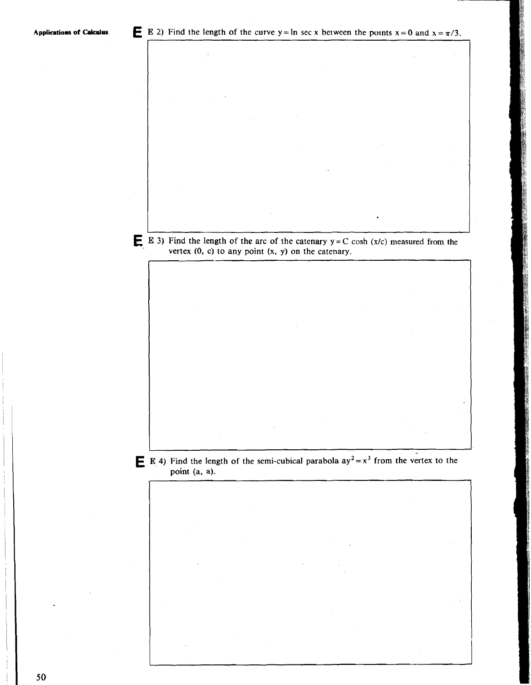I I **E**  $\bullet$  3) Find the length of the arc of the catenary  $y = C \cosh(x/c)$  measured from the vertex  $(0, c)$  to any point  $(x, y)$  on the catenary.

**E E** 4) Find the length of the semi-cubical parabola  $ay^2 = x^3$  from the vertex to the **point (a, a).** 

<u>I i provinci i provinci i provinci i provinci i provinci i provinci i provinci i provinci i provinci i provinc</u>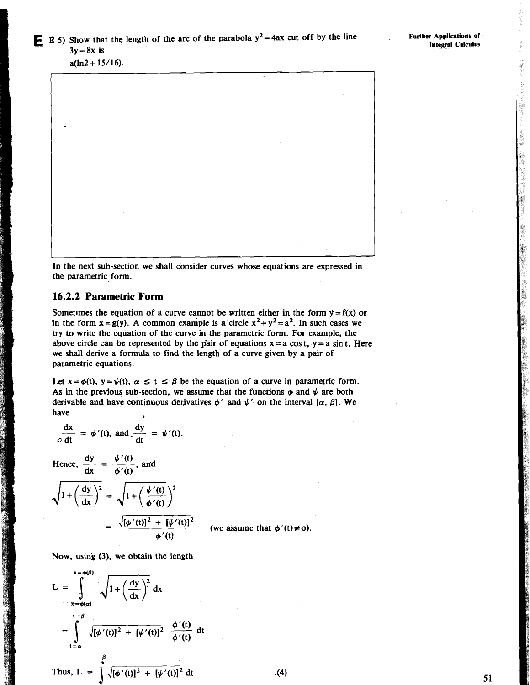医肠腹部 医不

 $a(ln2 + 15/16)$ .



In the next sub-section we shall consider curves whose equations are expressed in the parametric form.

# **16.2.2 Parametric Form**

Sometimes the equation of a curve cannot be written either in the form  $y = f(x)$  or In the form  $x = g(y)$ . A common example is a circle  $x^2 + y^2 = a^2$ . In such cases we try to write the equation of the curve in the parametric form. For example, the above circle can be represented by the pair of equations  $x = a \cos t$ ,  $y = a \sin t$ . Here we shall derive a formula to find the length of a curve given by a pair of parametric equations.

Let  $x = \phi(t)$ ,  $y = \psi(t)$ ,  $\alpha \le t \le \beta$  be the equation of a curve in parametric form. As in the previous sub-section, we assume that the functions  $\phi$  and  $\psi$  are both derivable and have continuous derivatives  $\phi'$  and  $\psi'$  on the interval [ $\alpha$ ,  $\beta$ ]. We **have the set of**  $\theta$ 

$$
\frac{dx}{\circ dt} = \phi'(t), \text{ and } \frac{dy}{dt} = \psi'(t).
$$

derivable and have continuou<br>have<br> $\frac{dx}{dt} = \phi'(t)$ , and  $\frac{dy}{dt} = t$ <br>Hence,  $\frac{dy}{dx} = \frac{\psi'(t)}{\phi'(t)}$ , and

AW 2004 C. Tour C. C. The

=  $\sqrt{\left[\phi'(t)\right]^2 + \left[\psi'(t)\right]^2}$  (we assume that  $\phi'(t) \neq 0$ ).

Now, using (3), we obtain the length

$$
L = \int_{\frac{t-\phi(s)}{t-\phi(t)}}^{\frac{x-\phi(\beta)}{x-\phi(\alpha)}} \sqrt{1+\left(\frac{dy}{dx}\right)^2} dx
$$
  

$$
= \int_{t-\alpha}^{t-\beta} \sqrt{[\phi'(t)]^2 + [\psi'(t)]^2} \frac{\phi'(t)}{\phi'(t)} dt
$$
  
Thus, 
$$
L = \int_{t-\alpha}^{\beta} \sqrt{[\phi'(t)]^2 + [\psi'(t)]^2} dt
$$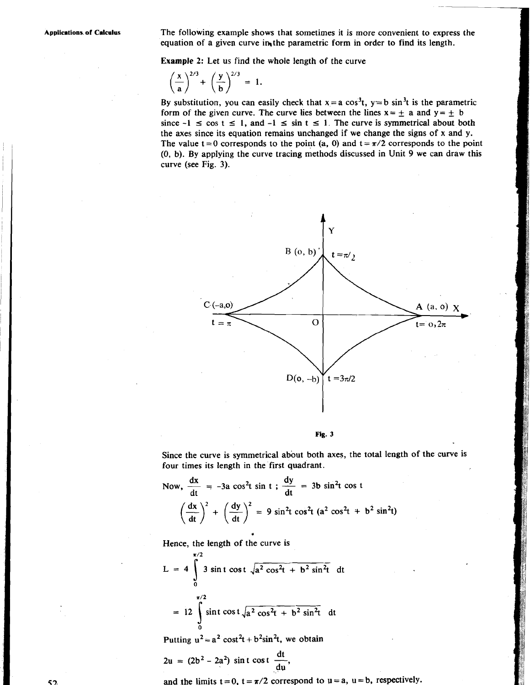**Applications. of Calculus** The following example shows that sometimes it is more convenient to express the equation of a given curve in the parametric form in order to find its length.

Example 2: Let us find the whole length of the curve

$$
\left(\frac{x}{a}\right)^{2/3} + \left(\frac{y}{b}\right)^{2/3} = 1.
$$

By substitution, you can easily check that  $x = a \cos^3 t$ ,  $y = b \sin^3 t$  is the parametric form of the given curve. The curve lies between the lines  $x = \pm a$  and  $y = \pm b$ since  $-1 \le \cos t \le 1$ , and  $-1 \le \sin t \le 1$ . The curve is symmetrical about both the axes since its equation remains unchanged if we change the signs of x and y. The value  $t = 0$  corresponds to the point (a, 0) and  $t = \pi/2$  corresponds to the point **(0,** b). By applying the curve tracing methods discussed in Unit 9 we can draw this curve (see Fig. 3).





Since the curve is symmetrical about both axes, the total length of the curve is four times its length in the first quadrant.<br>Now,  $\frac{dx}{dt} = -3a \cos^2 t \sin t$ ;  $\frac{dy}{dt} = 3b \sin^2 t \cos t$ four times its length in the first quadrant.

Now, 
$$
\frac{dx}{dt} = -3a \cos^2 t \sin t
$$
;  $\frac{dy}{dt} = 3b \sin^2 t \cos t$   

$$
\left(\frac{dx}{dt}\right)^2 + \left(\frac{dy}{dt}\right)^2 = 9 \sin^2 t \cos^2 t \left(a^2 \cos^2 t + b^2 \sin^2 t\right)
$$

Hence, the length of the curve is

$$
L = 4 \int_{0}^{\frac{\pi}{2}} 3 \sin t \cos t \sqrt{a^2 \cos^2 t + b^2 \sin^2 t} dt
$$
  
= 12 \int\_{0}^{\frac{\pi}{2}} \sin t \cos t \sqrt{a^2 \cos^2 t + b^2 \sin^2 t} dt

Putting  $u^2 = a^2 \cos^2 t + b^2 \sin^2 t$ , we obtain

$$
2u = (2b2 - 2a2) \sin t \cos t \frac{dt}{du},
$$

and the limits  $t = 0$ ,  $t = \pi/2$  correspond to  $u = a$ ,  $u = b$ , respectively.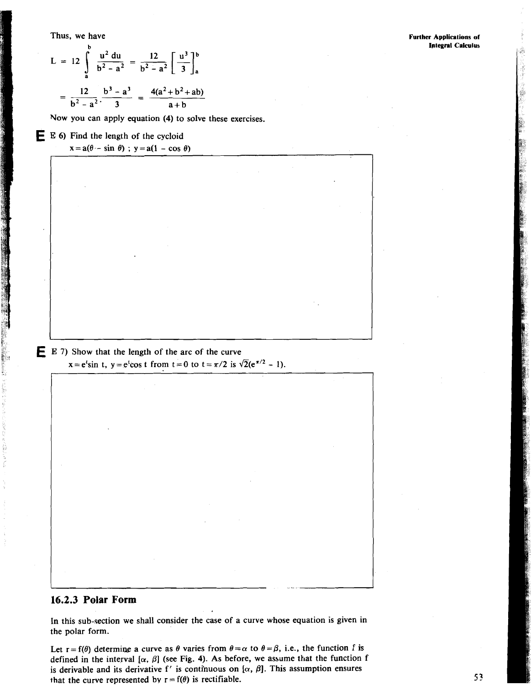Thus, we have

$$
L = 12 \int_{a}^{b} \frac{u^2 du}{b^2 - a^2} = \frac{12}{b^2 - a^2} \left[ \frac{u^3}{3} \right]_{a}^{b}
$$

$$
= \frac{12}{b^2 - a^2} \cdot \frac{b^3 - a^3}{3} = \frac{4(a^2 + b^2 + ab)}{a + b}
$$

Vow you can apply equation (4) to solve these exercises.

**E <sup>E</sup>**6) Find the length of the cycloid  $x = a(\theta - \sin \theta)$ ;  $y = a(1 - \cos \theta)$ 

**E** E 7) Show that the length of the arc of the curve  $x=e^{t}\sin t$ ,  $y=e^{t}\cos t$  from  $t=0$  to  $t=\pi/2$  is  $\sqrt{2}(e^{\pi/2}-1)$ .

# **16.2.3 Polar Form**

In this sub-section we shall consider the case of a curve whose equation is given in the polar form.

Let  $r = f(\theta)$  determine a curve as  $\theta$  varies from  $\theta = \alpha$  to  $\theta = \beta$ , i.e., the function f is defined in the interval  $[\alpha, \beta]$  (see Fig. 4). As before, we assume that the function f is derivable and its derivative f' is continuous on  $[\alpha, \beta]$ . This assumption ensures that the curve represented by  $r = f(\theta)$  is rectifiable.

.A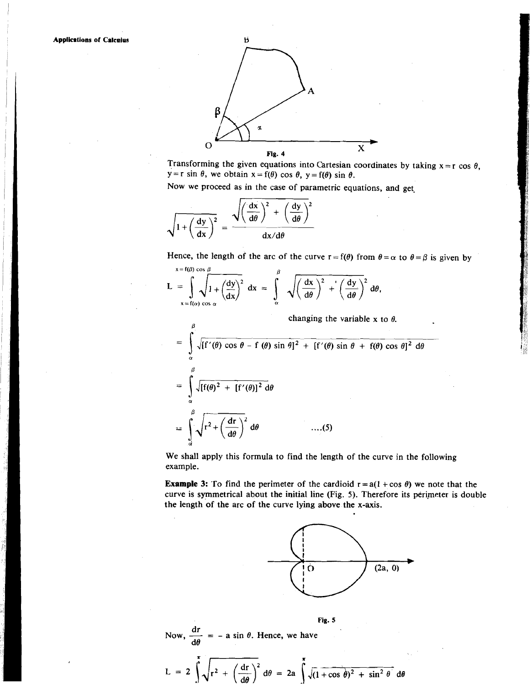

Transforming the given equations into Cartesian coordinates by taking  $x = r \cos \theta$ ,  $y = r \sin \theta$ , we obtain  $x = f(\theta) \cos \theta$ ,  $y = f(\theta) \sin \theta$ .

Now we proceed as in the case of parametric equations, and get.

 $\overline{\phantom{a}}$ 

$$
\sqrt{1 + \left(\frac{dy}{dx}\right)^2} = \frac{\sqrt{\left(\frac{dx}{d\theta}\right)^2 + \left(\frac{dy}{d\theta}\right)^2}}{dx/d\theta}
$$

Hence, the length of the arc of the curve  $r = f(\theta)$  from  $\theta = \alpha$  to  $\theta = \beta$  is given by

$$
L = \int_{x = f(a) \cos \alpha} \sqrt{1 + \left(\frac{dy}{dx}\right)^2} dx = \int_{\alpha}^{\beta} \sqrt{\left(\frac{dx}{d\theta}\right)^2 + \left(\frac{dy}{d\theta}\right)^2} d\theta,
$$

changing the variable x to  $\theta$ .

$$
\int_{x = f(\alpha) \cos \alpha} \sqrt{1 + (\overline{dx})^2} dx = \int_{\alpha} \sqrt{(\overline{d\theta})^2 + (\overline{d\theta})^2} dx
$$
\nchanging the variable x to  $\theta$ .  
\n
$$
= \int_{\alpha}^{\beta} \sqrt{[f'(\theta) \cos \theta - f(\theta) \sin \theta]^2 + [f'(\theta) \sin \theta + f(\theta) \cos \theta]^2} d\theta
$$
\n
$$
= \int_{\alpha}^{\beta} \sqrt{[f(\theta)^2 + [f'(\theta)]^2} d\theta
$$
\n
$$
= \int_{\alpha}^{\beta} \sqrt{r^2 + (\frac{dr}{d\theta})^2} d\theta
$$
\n....(5)

We shall apply this formula to find the length of the curve in the following example.

**Example 3:** To find the perimeter of the cardioid  $r = a(1 + \cos \theta)$  we note that the curve is symmetrical about the initial line (Fig. 5). Therefore its perimeter is double the length 'of the arc of the curve lying above the x-axis.



$$
\text{Now, } \frac{\text{d}r}{\text{d}\theta} = -a \sin \theta. \text{ Hence, we have}
$$

$$
L = 2 \int \sqrt{r^2 + \left(\frac{dr}{d\theta}\right)^2} d\theta = 2a \int \sqrt{(1 + \cos \theta)^2 + \sin^2 \theta} d\theta
$$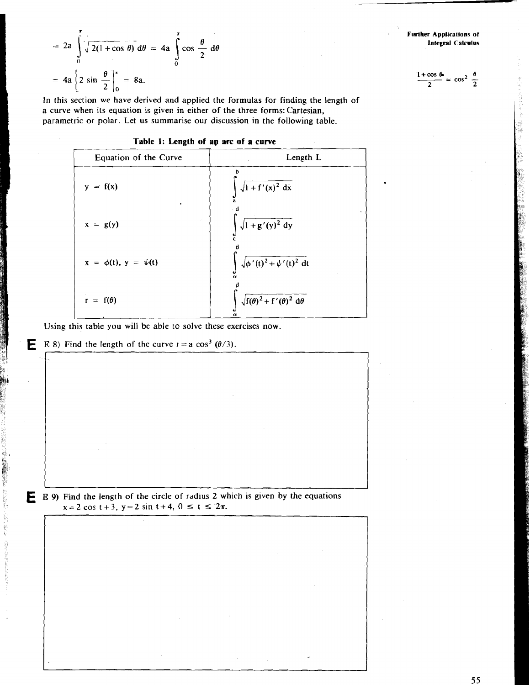$$
= 2a \int_{0}^{1} \sqrt{2(1 + \cos \theta)} d\theta = 4a \int_{0}^{1} \cos \frac{\theta}{2} d\theta
$$
  
= 4a  $\left[ 2 \sin \frac{\theta}{2} \right]_{0}^{1} = 8a$ .  
In this section we have derived and applied the formulas for finding the length of

a curve when its equation is given in either of the three forms: Cartesian, parametric or polar. Let us summarise our discussion in the following table.

#### **Table 1: Length of ap arc of a curve**



Using this table you will be able to solve these exercises now.

**E E** 8) Find the length of the curve  $r = a \cos^3(\theta/3)$ .

**r** 



 $\frac{1+\cos\theta}{2} = \cos^2\frac{\theta}{2}$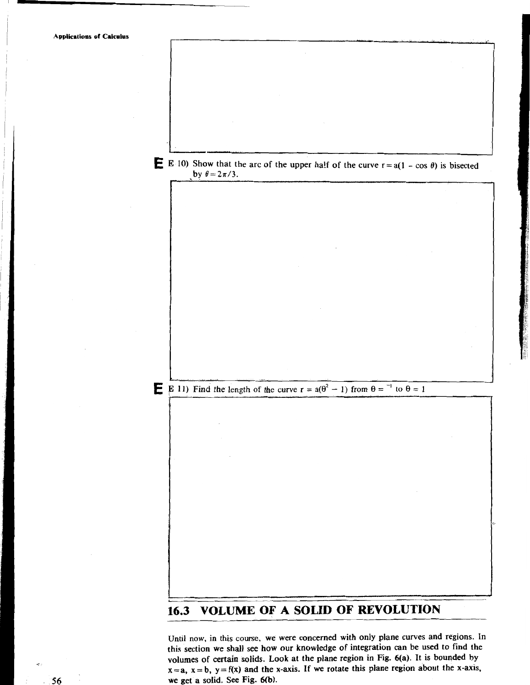**Applications of Calculus E** E 10) Show that the arc of the upper half of the curve  $r = a(1 - \cos \theta)$  is bisected by  $\theta = 2\pi/3$ . **E** E 11) Find the length of the curve  $r = a(\theta^2 - 1)$  from  $\theta = \theta^{-1}$  to  $\theta = 1$ - **-A 16.3 VOLUME OF A SOLID OF REVOLUTION** 

Until now, in this course. we were concerned with only plane curves and regions. In this section we shall see how our knowledge of integration can be used to find the volumes of certain solids. Look at the plane region in Fig. 6(a). It is bounded by  $x = a$ ,  $x = b$ ,  $y = f(x)$  and the x-axis. If we rotate this plane region about the x-axis, we get a solid. See Fig. 6(b).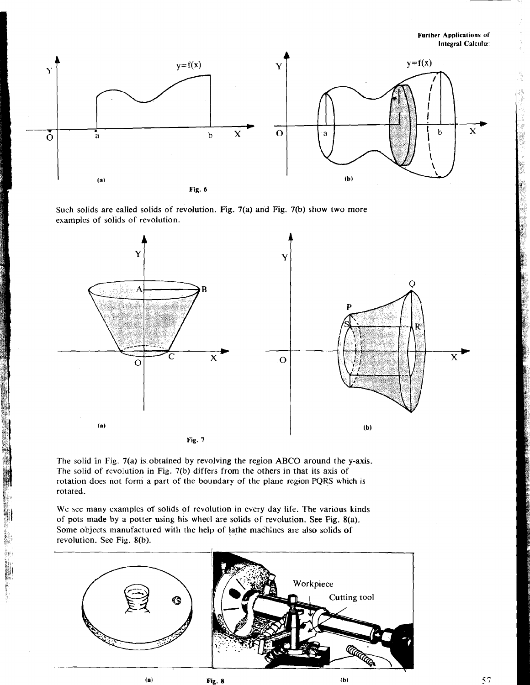**Further Applications of Integral Calculus** 



Such solids are called solids of revolution. Fig. 7(a) and Fig. 7(b) show two more examples of solids of revolution.



The solid in Fig. 7(a) is obtained by revolving the region ABCQ around the y-axis. The solid of revolution in Fig. **7(b)** differs from the others in that its axis of rotation does not form a part of the boundary of the plane region PQRS which is rotated.

We see many examples of solids of revolution in every day life. The various kinds of pots made by a potter using his wheel are solids of revolution. See Fig. 8(a). Some objects manufactured with the help of lathe machines are also solids of revolution. See Fig. 8(b).

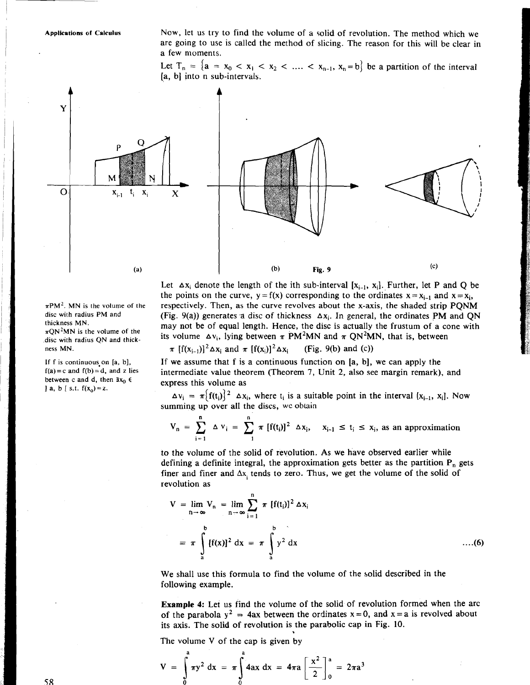Applications of Calculus **Now, let us try to find the volume of a solid of revolution. The method which we** are going to use is called the method of slicing. The reason for this will be clear in l a few moments.

> Let  $T_n = \{a = x_0 < x_1 < x_2 < \ldots < x_{n-1}, x_n = b\}$  be a partition of the interval [a, b] into n sub-intervals.



Let  $\Delta x_i$  denote the length of the ith sub-interval  $[x_{i-1}, x_i]$ . Further, let P and Q be the points on the curve,  $y = f(x)$  corresponding to the ordinates  $x = x_{i-1}$  and  $x = x_i$ , respectively. Then, as the curve revolves about the x-axis, the shaded strip PQNM (Fig. 9(a)) generates a disc of thickness  $\Delta x_i$ . In general, the ordinates PM and QN may not be of equal length. Hence, the disc is actually the frustum of a cone with its volume  $\Delta v_i$ , lying between  $\pi$  PM<sup>2</sup>MN and  $\pi$  QN<sup>2</sup>MN, that is, between

$$
\pi \left[f(x_{i-1})\right]^2 \Delta x_i \text{ and } \pi \left[f(x_i)\right]^2 \Delta x_i \qquad \text{(Fig. 9(b) and (c))}
$$

If we assume that f is a continuous function on [a, b], we can apply the intermediate value theorem (Theorem 7, Unit 2, also see margin remark), and express this volume as

 $\Delta v_i = \pi \{f(t_i)\}^2$   $\Delta x_i$ , where  $t_i$  is a suitable point in the interval  $[x_{i-1}, x_i]$ . Now summing up over all the discs, we obtain

$$
V_n = \sum_{i=1}^n \Delta v_i = \sum_{i=1}^n \pi [f(t_i)]^2 \Delta x_i, \quad x_{i-1} \le t_i \le x_i, \text{ as an approximation}
$$

to the volume of the solid of revolution. As we have observed earlier while defining a definite integral, the approximation gets better as the partition  $P_n$  gets finer and finer and  $\Delta x$ , tends to zero. Thus, we get the volume of the solid of revolution as

$$
V = \lim_{n \to \infty} V_n = \lim_{n \to \infty} \sum_{i=1}^n \pi [f(t_i)]^2 \Delta x_i
$$
  
=  $\pi \int_a^b [f(x)]^2 dx = \pi \int_a^b y^2 dx$  ...(6)

We shall use this formula to find the volume of the solid described in the following example.

Example 4: Let us find the volume of the solid of revolution formed when the arc of the parabola  $y^2 = 4ax$  between the ordinates  $x = 0$ , and  $x = a$  is revolved about its axis. The solid of revolution is the parabolic cap in Fig. 10.

The volume V of the cap is given by

$$
V = \int_{0}^{\infty} \pi y^2 dx = \pi \int_{0}^{\infty} 4ax dx = 4\pi a \left[ \frac{x^2}{2} \right]_{0}^{a} = 2\pi a^3
$$

 $\pi$ PM<sup>2</sup>. MN is the volume of the disc with radius PM and thickness MN.

 $\pi QN^2MN$  is the volume of the .disc with radius QN and thickness MN.

If f is continuous.on [a, b],  $f(a) = c$  and  $f(b) = d$ , and  $z$  lies between c and d, then  $3x_0 \in$ **]** a, b [ s.t.  $f(x_0) = z$ .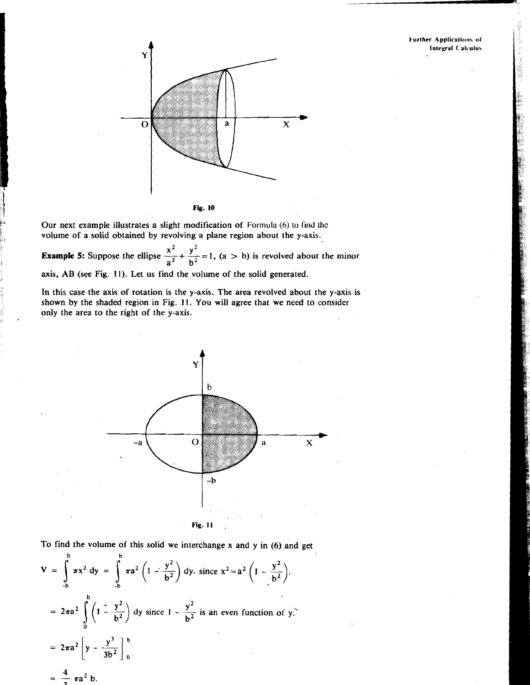#### **Further Applications of Integral Calculus**



Our next example illustrates a slight modification of Formula (6) to find the volume of a solid obtained by revolving a plane region about the y-axis.

**Example 5:** Suppose the ellipse  $\frac{x^2}{a^2} + \frac{y^2}{b^2} = 1$ ,  $(a > b)$  is revolved about the minor axis, AB (see Fig. 11). Let us find the volume of the solid generated.

In this case the axis of rotation is the y-axis. The area revolved about the y-axis is shown by the shaded region in Fig. **11.** You will agree that we need to consider only the area to the right of the y-axis.



To find the volume of this solid we interchange x and y in (6) and get

$$
V = \int_{-b}^{b} \pi x^2 dy = \int_{-b}^{b} \pi a^2 \left(1 - \frac{y^2}{b^2}\right) dy, \text{ since } x^2 = a^2 \left(1 - \frac{y^2}{b^2}\right).
$$
  
=  $2\pi a^2 \int_{0}^{b} \left(1 - \frac{y^2}{b^2}\right) dy$  since  $1 - \frac{y^2}{b^2}$  is an even function of y.  
=  $2\pi a^2 \left[y - \frac{y^3}{3b^2}\right]_{0}^{b}$   
=  $\frac{4}{3} \pi a^2 b$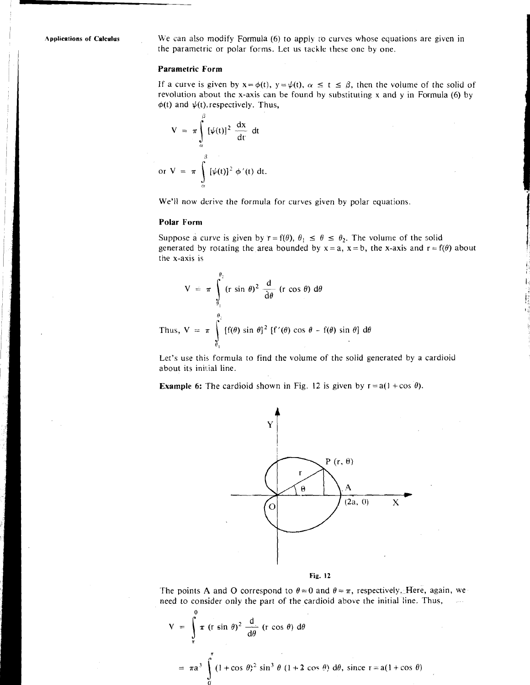Applications of **Calculus We** can also modify Formula (6) to apply to curves whose equations are given in the parametric or polar forms. Let us tackle these one by one.

#### **Parametric Form**

If a curve is given by  $x = \phi(t)$ ,  $y = \psi(t)$ ,  $\alpha \le t \le \beta$ , then the volume of the solid of revolution about the x-axis can be found by substituting x and y in Formula (6) by  $\phi(t)$  and  $\psi(t)$ , respectively. Thus,

$$
V = \pi \int_{\alpha}^{\beta} [\psi(t)]^2 \frac{dx}{dt} dt
$$
  
or 
$$
V = \pi \int_{\alpha}^{\beta} [\psi(t)]^2 \phi'(t) dt.
$$

We'll now derive the formula for curves given by polar equations.

#### **Polar Form**

Suppose a curve is given by  $r = f(\theta)$ ,  $\theta_1 \le \theta \le \theta_2$ . The volume of the solid generated by rotating the area bounded by  $x = a$ ,  $x = b$ , the x-axis and  $r = f(\theta)$  about the x-axis is

$$
V = \pi \int_{\theta_1}^{\theta_2} (r \sin \theta)^2 \frac{d}{d\theta} (r \cos \theta) d\theta
$$
  
Thus, 
$$
V = \pi \int_{\theta_1}^{\theta_2} [f(\theta) \sin \theta]^2 [f'(\theta) \cos \theta - f(\theta) \sin \theta] d\theta
$$

Let's use this formula to find the volume of the solid generated by a cardioid about its initial line.

**Example 6:** The cardioid shown in Fig. 12 is given by  $r = a(1 + \cos \theta)$ .





The points A and O correspond to  $\theta = 0$  and  $\theta = \pi$ , respectively. Here, again, we need to consider only the part of the cardioid above the initial line. Thus,

The points A and O correspond to 
$$
\theta = 0
$$
 and  $\theta = \pi$ , respectively. Here  
need to consider only the part of the cardioid above the initial line. 7  

$$
V = \int_{\pi}^{0} \pi (r \sin \theta)^{2} \frac{d}{d\theta} (r \cos \theta) d\theta
$$

$$
= \pi a^{3} \int_{0}^{\pi} (1 + \cos \theta)^{2} \sin^{3} \theta (1 + 2 \cos \theta) d\theta, \text{ since } r = a(1 + \cos \theta)
$$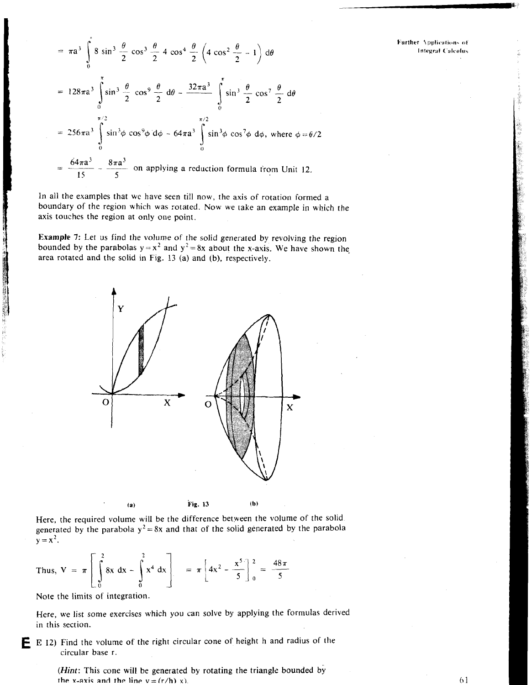Further Applications of **Integral Calculus** 

$$
= \pi a^3 \int_0^{\pi} 8 \sin^3 \frac{\theta}{2} \cos^3 \frac{\theta}{2} 4 \cos^4 \frac{\theta}{2} \left( 4 \cos^2 \frac{\theta}{2} - 1 \right) d\theta
$$
  

$$
= 128\pi a^3 \int_0^{\pi} \sin^3 \frac{\theta}{2} \cos^9 \frac{\theta}{2} d\theta - \frac{32\pi a^3}{2} \int_0^{\pi} \sin^3 \frac{\theta}{2} \cos^7 \frac{\theta}{2} d\theta
$$
  

$$
= 256\pi a^3 \int_0^{\pi/2} \sin^3 \phi \cos^9 \phi d\phi - 64\pi a^3 \int_0^{\pi/2} \sin^3 \phi \cos^7 \phi d\phi, \text{ where } \phi = \theta/2
$$
  

$$
= \frac{64\pi a^3}{15} - \frac{8\pi a^3}{5} \text{ on applying a reduction formula from Unit 12.}
$$

In all the examples that we have seen till now, the axis of rotation formed a boundary of the region which was rotated. Now we take an example in which the axis touches the region at only one point.

**Example** 7: Let us find the volume of the solid generated by revolving the region bounded by the parabolas  $y = x^2$  and  $y^2 = 8x$  about the x-axis. We have shown the area rotated and the solid in Fig. 13 (a) and (b), respectively.



Here, the required volume will be the difference betyeen the volume of the solid generated by the parabola  $y^2 = 8x$  and that of the solid generated by the parabola  $y = x^2$ .

Thus, 
$$
V = \pi \left[ \int_{0}^{2} 8x \, dx - \int_{0}^{2} x^4 \, dx \right]
$$
 =  $\pi \left[ 4x^2 - \frac{x^5}{5} \right]_{0}^{2} = \frac{48\pi}{5}$ 

Note the limits of integration.

Here, we list some exercises which you can solve by applying the formulas derived in this section.

**E** E 12) Find the volume of the right circular cone of height h and radius of the circular base r.

> (Hint: This cone will be generated by rotating the triangle bounded by the x-axis and the line  $v = (r/h)x$ .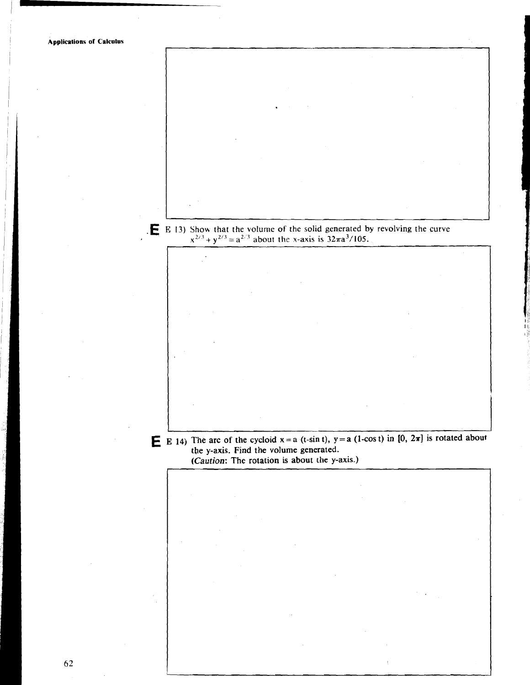**Applications of Calculus**  E 13) Show that the volume of the solid generated by revolving the curve  $x^{2/3} + y^{2/3} = a^{2/3}$  about the x-axis is  $32\pi a^{3}/105$ . **E** E 14) The arc of the cycloid  $x = a$  (t-sin t),  $y = a$  (1-cos t) in [0,  $2\pi$ ] is rotated about **the y-axis. Find the volume generated. (Caution: The rotation is about the y-axis.)** 62

I I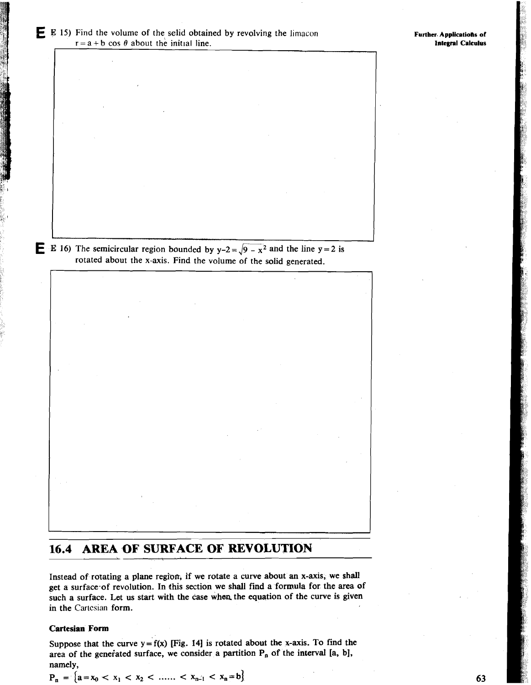**IL I**E 16) The semicircular region bounded by  $y-2 = \sqrt{9-x^2}$  and the line  $y = 2$  is rotated about the x-axis. Find the volume of the solid generated.

# **16.4 AREA OF SURFACE OF REVOLUTION**

Instead of rotating a plane region, if we rotate a curve about an x-axis, we shall get a surface-of revolution. In this section we shall find a formula for the area of such a surface. Let us start with the case when the equation of the curve is given in the Cartesian form.

## **Cartesian Form**

Suppose that the curve  $y = f(x)$  [Fig. 14] is rotated about the x-axis. To find the area of the generated surface, we consider a partition P<sub>n</sub> of the interval [a, b], namely, Suppose that the curve  $y = f(x)$  [Fig. 14] is rotated a<br>area of the generated surface, we consider a partition<br>namely,<br> $P_n = \{a = x_0 < x_1 < x_2 < \dots < x_{n-1} < x_n = b\}$ 

$$
P_n = \{a = x_0 < x_1 < x_2 < \dots < x_{n-1} < x_n = b\}
$$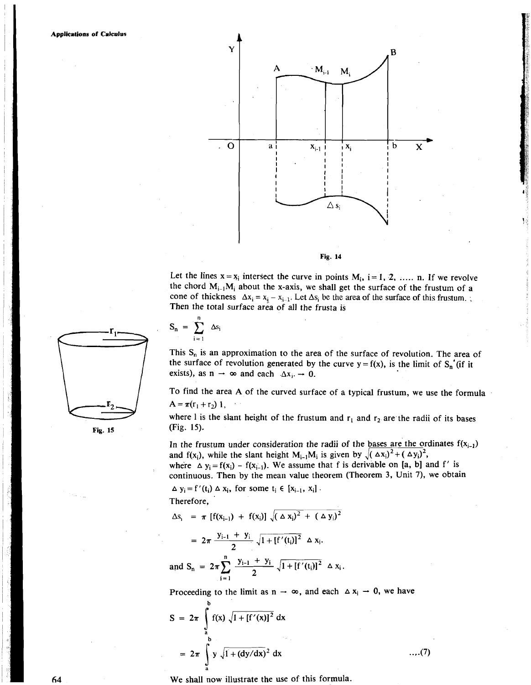

Let the lines  $x = x_i$  intersect the curve in points  $M_i$ ,  $i = 1, 2, ...$  n. If we revolve the chord  $M_{i-1}M_i$  about the x-axis, we shall get the surface of the frustum of a cone of thickness  $\Delta x_i = x_{i-1}$ . Let  $\Delta s_i$  be the area of the surface of this frustum. Then the total surface area of all the frusta is

This  $S_n$  is an approximation to the area of the surface of revolution. The area of the surface of revolution generated by the curve  $y = f(x)$ , is the limit of  $S_n'(i)$  if it

To find the area A of the curved surface of a typical frustum, we use the formula

where 1 is the slant height of the frustum and  $r_1$  and  $r_2$  are the radii of its bases

In the frustum under consideration the radii of the bases are the ordinates  $f(x_{i-1})$ 

where  $\Delta y_i = f(x_i) - f(x_{i-1})$ . We assume that f is derivable on [a, b] and f' is continuous. Then by the mean value theorem (Theorem 3, Unit 7), we obtain

and f(x<sub>i</sub>), while the slant height  $M_{i-1}M_i$  is given by  $\sqrt{(\Delta x_i)^2 + (\Delta y_i)^2}$ ,



**n**   $S_n = \sum \Delta s_i$ 1= 1

 $A = \pi(r_1 + r_2)$  1,

Therefore,

exists), as  $n \to \infty$  and each  $\Delta x_i \to 0$ .

 $\Delta$  y<sub>i</sub> = f'(t<sub>i</sub>)  $\Delta$  x<sub>i</sub>, for some t<sub>i</sub>  $\in$  [x<sub>i-1</sub>, x<sub>i</sub>].

 $\Delta s_i = \pi \left[ f(x_{i-1}) + f(x_i) \right] \sqrt{(\Delta x_i)^2 + (\Delta y_i)^2}$ 

 $= 2\pi \frac{y_{i-1} + y_i}{2} \sqrt{1 + [f'(t_i)]^2} \Delta x_i.$ 

and  $S_n = 2\pi \sum_{i=1}^{\infty} \frac{y_{i-1} + y_i}{2} \sqrt{1 + [f'(t_i)]^2} \Delta x_i$ .

 $\sum_{i=1}$  2

**a** 





$$
S = 2\pi \int_{a}^{b} f(x) \sqrt{1 + [f'(x)]^2} dx
$$
  
=  $2\pi \int_{a}^{b} y \sqrt{1 + (dy/dx)^2} dx$  ... (7)

We shall now illustrate the use of this formula.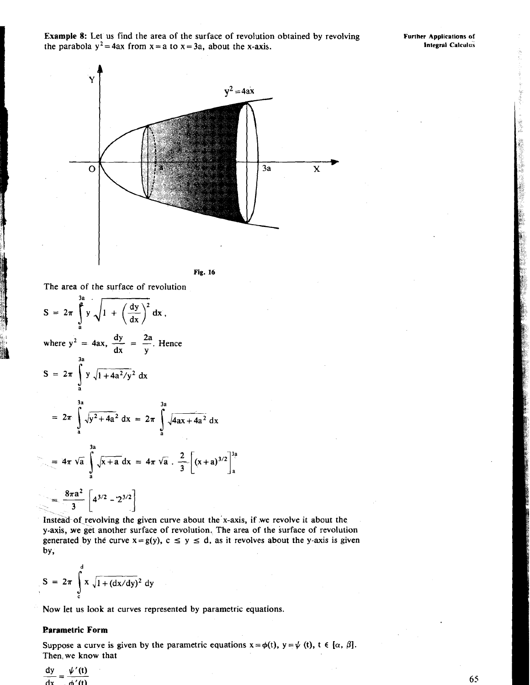**Example 8:** Let us find the area of the surface of revolution obtained by revolving **Further Applications of the parabola**  $y^2 = 4ax$  **from**  $x = a$  **to**  $x = 3a$  **about the x-axis** the parabola  $y^2 = 4ax$  from  $x = a$  to  $x = 3a$ , about the x-axis.



The area of the surface of revolution

$$
S = 2\pi \int_{a}^{3a} y \sqrt{1 + \left(\frac{dy}{dx}\right)^2} dx,
$$
  
where  $y^2 = 4ax$ ,  $\frac{dy}{dx} = \frac{2a}{y}$ . Hence  

$$
S = 2\pi \int_{a}^{3a} y \sqrt{1 + 4a^2/y^2} dx
$$

$$
= 2\pi \int_{a}^{3a} \sqrt{y^2 + 4a^2} dx = 2\pi \int_{a}^{3a} \sqrt{4ax + 4a^2} dx
$$

$$
= 4\pi \sqrt{a} \int_{a}^{3a} \sqrt{x + a} dx = 4\pi \sqrt{a} \cdot \frac{2}{3} \left[ (x + a)^{3/2} \right]_{a}^{3a}
$$

$$
= \frac{8\pi a^2}{3} \left[ 4^{3/2} - 2^{3/2} \right]
$$

Instead of revolving the given curve about the x-axis, if we revolve it about the y-axis, we get another surface of revolution. The area of the surface of revolution Instead of revolving the given curve about the x-axis, if we revolve it about the y-axis, we get another surface of revolution. The area of the surface of revolution generated by the curve  $x = g(y)$ ,  $c \le y \le d$ , as it revolv

$$
S = 2\pi \int_{c}^{d} x \sqrt{1 + (dx/dy)^2} dy
$$

Now let us look at curves represented by parametric equations.

## **Parametric Form**

Suppose a curve is given by the parametric equations  $x = \phi(t)$ ,  $y = \psi(t)$ ,  $t \in [\alpha, \beta]$ . Then, we know that

 $\frac{dy}{dx} = \frac{\psi'(t)}{t}$  $dx = dy'(t)$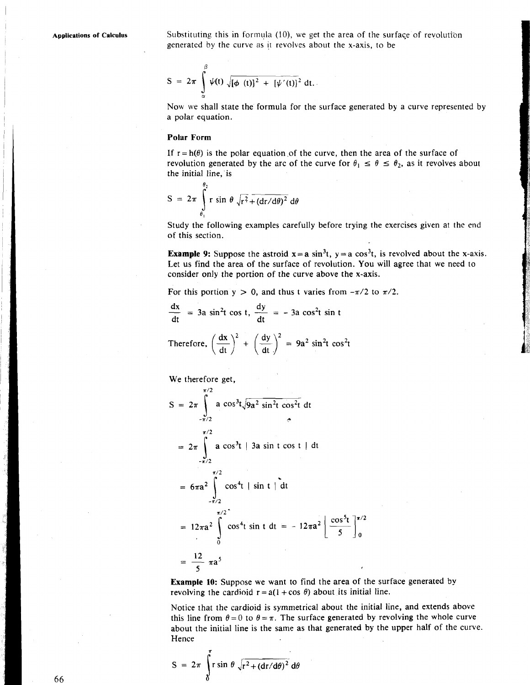Applications of Calculus **Substituting this in formula (10)**, we get the area of the surface of revolution generated by the curve as jt revolves about the x-axis, to be

$$
S = 2\pi \int_{\alpha}^{\beta} \psi(t) \sqrt{[\phi(t)]^2 + [\psi'(t)]^2} dt.
$$

Now we shall state the formula for the surface generated by a curve represented by a polar equation.

#### **Polar Form**

If  $r = h(\theta)$  is the polar equation of the curve, then the area of the surface of revolution generated by the arc of the curve for  $\theta_1 \le \theta \le \theta_2$ , as it revolves about the initial line, is

$$
S = 2\pi \int_{\theta_1}^{\theta_2} r \sin \theta \sqrt{r^2 + (dr/d\theta)^2} d\theta
$$

Study the following examples carefully before trying the exercises given at the end of this section.

**Example 9:** Suppose the astroid  $x = a \sin^3 t$ ,  $y = a \cos^3 t$ , is revolved about the x-axis. Let us find the area of the surface of revolution. You will agree that we need to consider only the portion of the curve above the x-axis.

For this portion  $y > 0$ , and thus t varies from  $-\pi/2$  to  $\pi/2$ .

For this portion 
$$
y > 0
$$
, and thus t varies from  
\n
$$
\frac{dx}{dt} = 3a \sin^2 t \cos t, \frac{dy}{dt} = -3a \cos^2 t \sin t
$$

Therefore, 
$$
\left(\frac{dx}{dt}\right)^2 + \left(\frac{dy}{dt}\right)^2 = 9a^2 \sin^2 t \cos^2 t
$$

We therefore get,

$$
S = 2\pi \int_{-\pi/2}^{\pi/2} a \cos^{3}t \sqrt{9a^{2} \sin^{2}t \cos^{2}t} dt
$$
  
\n
$$
= 2\pi \int_{-\pi/2}^{\pi/2} a \cos^{3}t | 3a \sin t \cos t | dt
$$
  
\n
$$
= 6\pi a^{2} \int_{-\pi/2}^{\pi/2} \cos^{4}t | \sin t | dt
$$
  
\n
$$
= 12\pi a^{2} \int_{0}^{\pi/2} \cos^{4}t \sin t dt = -12\pi a^{2} \left[ \frac{\cos^{5}t}{5} \right]_{0}^{\pi}
$$
  
\n
$$
= \frac{12}{5} \pi a^{5}
$$

Example 10: Suppose we want to find the area of the surface generated by revolving the cardioid  $r = a(1 + \cos \theta)$  about its initial line.

Notice that the cardioid is symmetrical about the initial line, and extends above this line from  $\theta = 0$  to  $\theta = \pi$ . The surface generated by revolving the whole curve about the initial line is the same as that generated by the upper half of the curve. Hence

$$
S = 2\pi \int_{0}^{\infty} r \sin \theta \sqrt{r^2 + (dr/d\theta)^2} d\theta
$$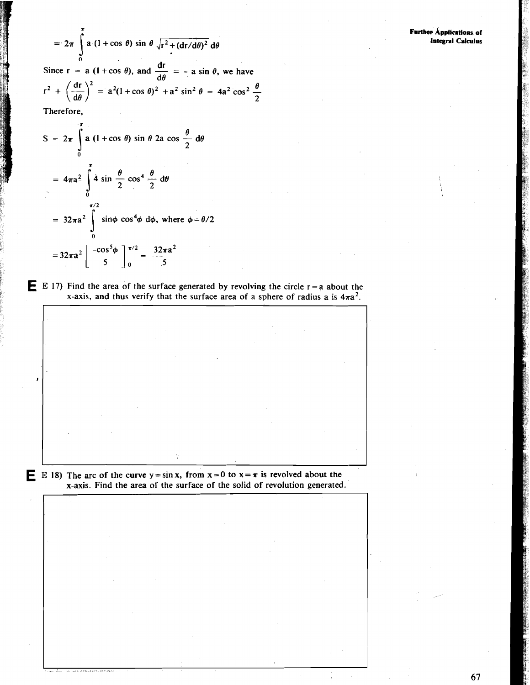$$
= 2\pi \int_{0}^{1} a (1 + \cos \theta) \sin \theta \sqrt{r^{2} + (dr/d\theta)^{2}} d\theta
$$

=  $2\pi \int_{0}^{1} a (1 + \cos \theta) \sin \theta \sqrt{r^{2} + (dr/d\theta)^{2}} d\theta$ <br>
Since r = a (1 + cos  $\theta$ ), and  $\frac{dr}{d\theta}$  = - a sin  $\theta$ , we have<br>  $r^{2} + \left(\frac{dr}{d\theta}\right)^{2}$  =  $a^{2}(1 + \cos \theta)^{2} + a^{2} \sin^{2} \theta$  =  $4a^{2} \cos^{2} \frac{\theta}{2}$ 

Therefore.

$$
S = 2\pi \int_{0}^{\pi} a (1 + \cos \theta) \sin \theta 2a \cos \frac{\theta}{2} d\theta
$$
  
=  $4\pi a^{2} \int_{0}^{\pi} 4 \sin \frac{\theta}{2} \cos^{4} \frac{\theta}{2} d\theta$   
=  $32\pi a^{2} \int_{0}^{\pi/2} \sin \phi \cos^{4} \phi d\phi$ , where  $\phi = \theta/2$   
=  $32\pi a^{2} \left| \frac{-\cos^{5} \phi}{5} \right|_{0}^{\pi/2} = \frac{32\pi a^{2}}{5}$ 

**E** E 17) Find the area of the surface generated by revolving the circle  $r = a$  about the x-axis, and thus verify that the surface area of a sphere of radius a is  $4\pi a^2$ .

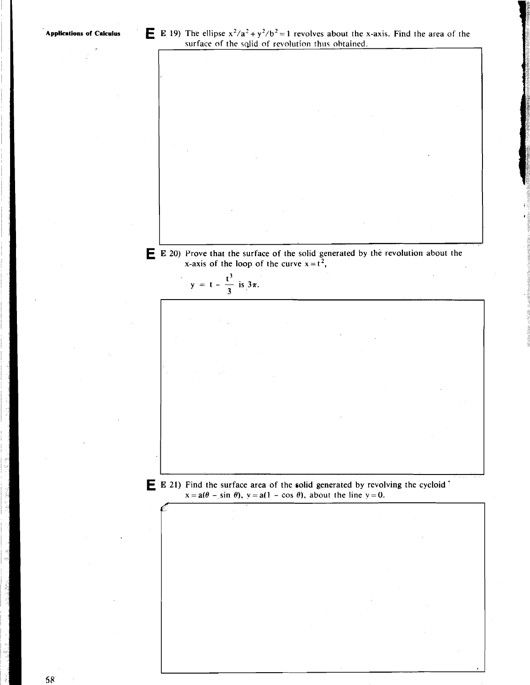**E 20)** Prove that the surface of the solid generated by the revolution about the x-axis of the loop of the curve  $x = t^2$ ,  $y = t - \frac{t^3}{3}$  is  $3\pi$ . **E E 21)** Find the surface area of the solid generated by revolving the cycloid '  $x = a(\theta - \sin \theta)$ ,  $y = a(1 - \cos \theta)$ , about the line  $y = 0$ .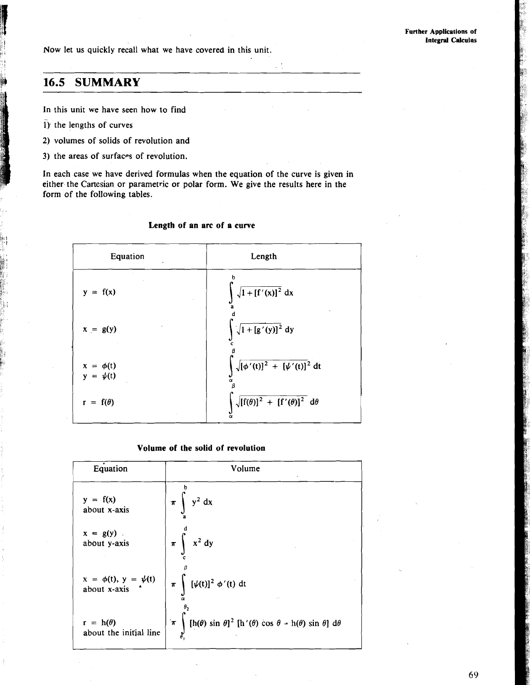Now let us quickly recall what we have covered in this unit.

# **16.5 SUMMARY**

In this unit we have seen how to find

- $i)$ : the lengths of curves
- 2) volumes of solids of revolution and
- 3) the areas of surfaces of revolution.

In each case we have derived formulas when the equation of the curve is given in either the Cartesian or parametric or polar form. We give the results here in the form of the following tables.

| Equation                       | Length                                                                |
|--------------------------------|-----------------------------------------------------------------------|
| $y = f(x)$                     | $\sqrt{1 + [f'(x)]^2} dx$<br>ā                                        |
| $x = g(y)$                     | $\sqrt{1 + [g'(y)]^2}$ dy                                             |
| $x = \phi(t)$<br>$y = \psi(t)$ | $\sqrt{[\phi'(t)]^2 + [\psi'(t)]^2} dt$<br>α<br>в                     |
| $r = f(\theta)$                | $\sqrt{\left[f(\theta)\right]^2 + \left[f'(\theta)\right]^2} d\theta$ |

## **Length of an arc of a curve**

#### **Volume of the solid of revolution**

| Equation                                   | Volume                                                                                                          |
|--------------------------------------------|-----------------------------------------------------------------------------------------------------------------|
| $y = f(x)$                                 | $y^2 dx$                                                                                                        |
| about x-axis                               | $\pi$                                                                                                           |
| $x = g(y)$ .                               | $x^2$ dy                                                                                                        |
| about y-axis                               | $\pi$                                                                                                           |
| $x = \phi(t), y = \psi(t)$<br>about x-axis | $[\psi(t)]^2 \phi'(t) dt$<br>$\pi$                                                                              |
| $r = h(\theta)$                            | $\left[\ln(\theta)\sin\theta\right]^2$ $\left[\ln'(\theta)\cos\theta - \ln(\theta)\sin\theta\right]$ d $\theta$ |
| about the initial line                     | $\pi$                                                                                                           |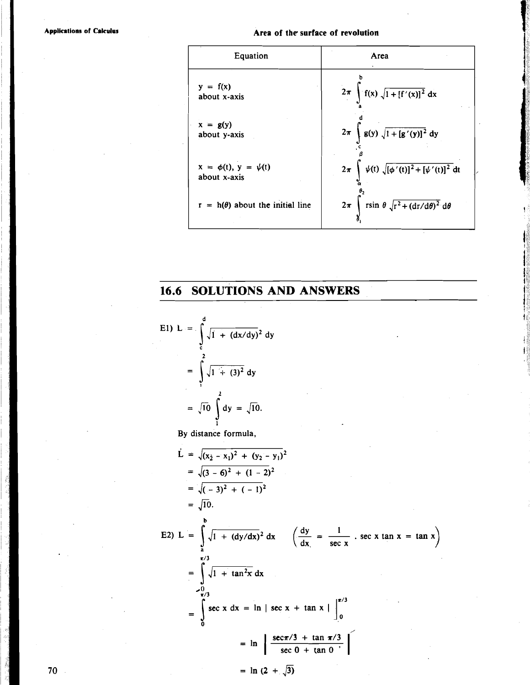**Applications of Calculus** 

## Area of the surface of revolution



# **16.6 SOLUTIONS AND ANSWERS**

E1) L = 
$$
\int_{c}^{d} \sqrt{1 + (dx/dy)^{2}} dy
$$
  
= 
$$
\int_{1}^{2} \sqrt{1 + (3)^{2}} dy
$$
  
= 
$$
\sqrt{10} \int_{1}^{2} dy = \sqrt{10}.
$$

By distance formula,

$$
\vec{L} = \sqrt{(x_2 - x_1)^2 + (y_2 - y_1)^2}
$$
\n
$$
= \sqrt{(3 - 6)^2 + (1 - 2)^2}
$$
\n
$$
= \sqrt{10}.
$$
\nE2) 
$$
L = \int_{a}^{b} \sqrt{1 + (dy/dx)^2} dx \quad \left(\frac{dy}{dx}\right) = \frac{1}{\sec x} \cdot \sec x \tan x = \tan x\right)
$$
\n
$$
= \int_{0}^{\pi/3} \sqrt{1 + \tan^2 x} dx
$$
\n
$$
= \int_{0}^{\pi/3} \sec x dx = \ln | \sec x + \tan x | \int_{0}^{\pi/3} dx
$$
\n
$$
= \ln \left| \frac{\sec \pi/3 + \tan \pi/3}{\sec 0 + \tan 0} \right|
$$

=  $\ln (2 + \sqrt{3})$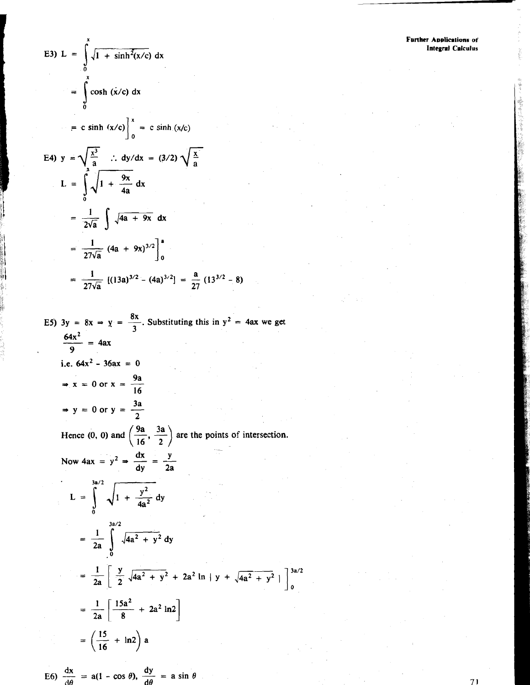E3) L = 
$$
\int_{0}^{x} \sqrt{1 + \sinh^{2}(x/c)} dx
$$
  
\n=  $\int_{0}^{x} \cosh (x/c) dx$   
\n= c sinh (x/c) $\Big|_{0}^{x} = c \sinh (x/c)$   
\nE4)  $y = \sqrt{\frac{x^{3}}{a}}$   $\therefore dy/dx = (3/2) \sqrt{\frac{x}{a}}$   
\nL =  $\int_{0}^{a} \sqrt{1 + \frac{9x}{4a}} dx$   
\n=  $\frac{1}{2\sqrt{a}} \int \sqrt{4a + 9x} dx$   
\n=  $\frac{1}{27\sqrt{a}} (4a + 9x)^{3/2} \Big|_{0}^{a}$   
\n=  $\frac{1}{27\sqrt{a}} [(13a)^{3/2} - (4a)^{3/2}] = \frac{a}{27} (13^{3/2} - 16a)^{3/2}$ 

E5)  $3y = 8x \Rightarrow y = \frac{8x}{3}$ . Substituting this in  $y^2 = 4ax$  we get  $\frac{64x^2}{9} = 4ax$ i.e.  $64x^2 - 36ax = 0$  $\Rightarrow$  x = 0 or x =  $\frac{9a}{16}$  $\Rightarrow$  y = 0 or y =  $\frac{3a}{2}$ Hence (0, 0) and  $\left(\frac{9a}{16}, \frac{3a}{2}\right)$  are the points of intersection. Now  $4ax = y^2 \Rightarrow \frac{dx}{dy} = \frac{y}{2a}$ L =  $\int_{0}^{3a/2} \sqrt{1 + \frac{y^2}{4a^2}} dy$  $=\frac{1}{2a}\int_{0}^{3a/2}\sqrt{4a^2+y^2} dy$  $= \frac{1}{2a} \left[ \frac{y}{2} \sqrt{4a^2 + y^2} + 2a^2 \ln |y + \sqrt{4a^2 + y^2}| \right]_0^{3a/2}$  $= \frac{1}{2a} \left[ \frac{15a^2}{8} + 2a^2 \ln 2 \right]$  $=\left(\frac{15}{16} + \ln 2\right) a$ 

 $-8$ 

E6)  $\frac{dx}{d\theta} = a(1 - \cos \theta), \frac{dy}{d\theta} = a \sin \theta$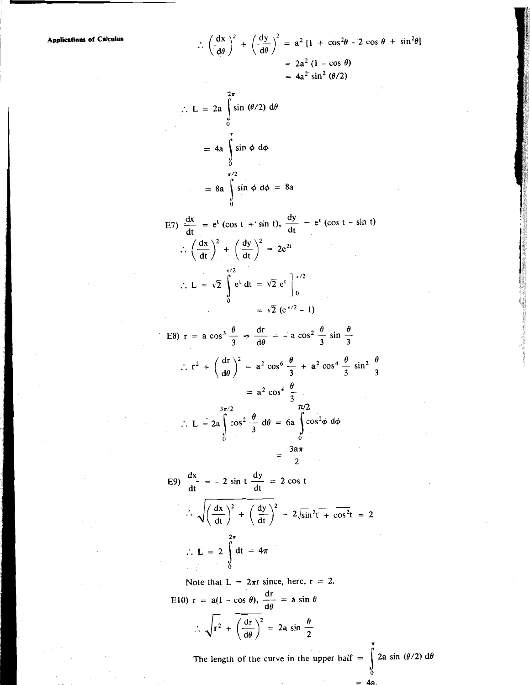Applications of Calculus

$$
\therefore \left(\frac{dx}{d\theta}\right)^2 + \left(\frac{dy}{d\theta}\right)^2 = a^2 [1 + \cos^2\theta - 2 \cos \theta + \sin^2\theta]
$$
  
\n
$$
= 2a^2 (1 - \cos \theta)
$$
  
\n
$$
= 4a^2 \sin^2 (\theta/2)
$$
  
\n
$$
\therefore L = 2a \int_0^{2\pi} \sin (\theta/2) d\theta
$$
  
\n
$$
= 4a \int_0^{\pi} \sin \phi d\phi = 8a
$$
  
\nE7)  $\frac{dx}{dt} = e^t (\cos t + \sin t), \frac{dy}{dt} = e^t (\cos t - \sin t)$   
\n
$$
\therefore \left(\frac{dx}{dt}\right)^2 + \left(\frac{dy}{dt}\right)^2 = 2e^{2t}
$$
  
\n
$$
\therefore L = \sqrt{2} \int_0^{\pi/2} e^t dt = \sqrt{2} e^t \Big]_0^{\pi/2}
$$
  
\n
$$
= \sqrt{2} (e^{\pi/2} - 1)
$$
  
\nE8)  $r = a \cos^3 \frac{\theta}{3} \Rightarrow \frac{dr}{d\theta} = -a \cos^2 \frac{\theta}{3} \sin \frac{\theta}{3}$   
\n
$$
\therefore r^2 + \left(\frac{dr}{d\theta}\right)^2 = a^2 \cos^6 \frac{\theta}{3} + a^2 \cos^4 \frac{\theta}{3} \sin^2 \frac{\theta}{3}
$$
  
\n
$$
= a^2 \cos^4 \frac{\theta}{3}
$$
  
\n
$$
\therefore L = 2a \int_0^{3\pi/2} \cos^2 \frac{\theta}{3} d\theta = 6a \int_0^{3\pi/2} \cos^2 \phi d\phi
$$
  
\n
$$
= \frac{3a\pi}{2}
$$
  
\nE9)  $\frac{dx}{dt} = -2 \sin t \frac{dy}{dt} = 2 \cos t$   
\n
$$
\therefore \sqrt{\left(\frac{dx}{dt}\right)^2 + \left(\frac{dy}{dt}\right)^2} = 2 \sqrt{\sin^2 t + \cos^2 t} = 2
$$
  
\nE10)  $r = a(1 - \cos \theta), \frac{dr}{dt} = a \sin \theta$   
\n
$$
\therefore \sqrt{r^
$$

2a sin  $(\theta/2)$  d $\theta$ The length of the curve in the upper half  $=$  $\frac{1}{0}$ 

 $= 4a$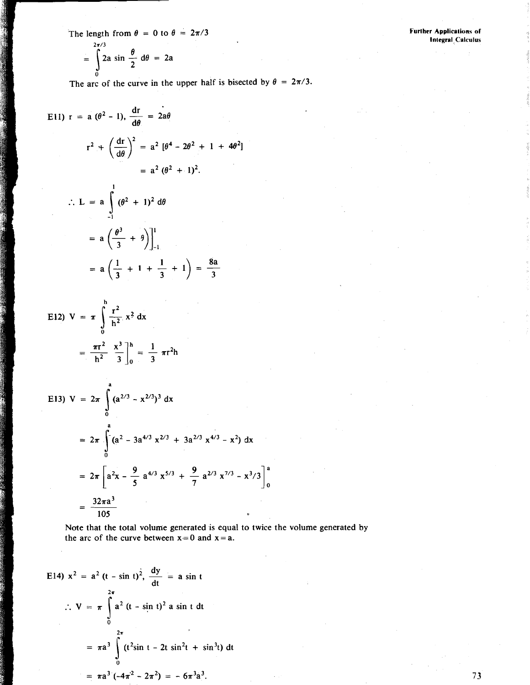The length from  $\theta = 0$  to  $\theta = 2\pi/3$ 

$$
= \int_{0}^{2\pi/3} 2a \sin \frac{\theta}{2} d\theta = 2a
$$

The arc of the curve in the upper half is bisected by  $\theta = 2\pi/3$ .

E11) 
$$
r = a (\theta^2 - 1), \frac{dr}{d\theta} = 2a\theta
$$
  
\n $r^2 + (\frac{dr}{d\theta})^2 = a^2 [\theta^4 - 2\theta^2 + 1 + 4\theta^2]$   
\n $= a^2 (\theta^2 + 1)^2.$   
\n $\therefore L = a \int_{-1}^{1} (\theta^2 + 1)^2 d\theta$   
\n $= a (\frac{\theta^3}{3} + \theta) \Big]_{-1}^{1}$   
\n $= a (\frac{1}{3} + 1 + \frac{1}{3} + 1) = \frac{8a}{3}$ 

 $\mathbf{h}$ 

E12) 
$$
V = \pi \int_{0}^{\pi} \frac{r^2}{h^2} x^2 dx
$$
  
\n
$$
= \frac{\pi r^2}{h^2} \left[ \frac{x^3}{3} \right]_{0}^{h} = \frac{1}{3} \pi r^2 h
$$
\nE13)  $V = 2\pi \int_{0}^{a} (a^{2/3} - x^{2/3})^3 dx$   
\n
$$
= 2\pi \int_{0}^{a} (a^2 - 3a^{4/3} x^{2/3} + 3a^{2/3} x^{4/3} - x^2) dx
$$
  
\n
$$
= 2\pi \left[ a^2 x - \frac{9}{5} a^{4/3} x^{5/3} + \frac{9}{7} a^{2/3} x^{7/3} - x^{3/3} \right]_{0}^{a}
$$
  
\n
$$
= \frac{32\pi a^3}{105}
$$

Note that the total volume generated is equal to twice the volume generated by the arc of the curve between  $x = 0$  and  $x = a$ .

E14) 
$$
x^2 = a^2 (t - \sin t)^2
$$
,  $\frac{dy}{dt} = a \sin t$   
\n $\therefore V = \pi \int_0^{2\pi} a^2 (t - \sin t)^2 a \sin t dt$   
\n $= \pi a^3 \int_0^{2\pi} (t^2 \sin t - 2t \sin^2 t + \sin^3 t) dt$   
\n $= \pi a^3 (-4\pi^2 - 2\pi^2) = -6\pi^3 a^3$ 

**Further Applications of Integral Calculus**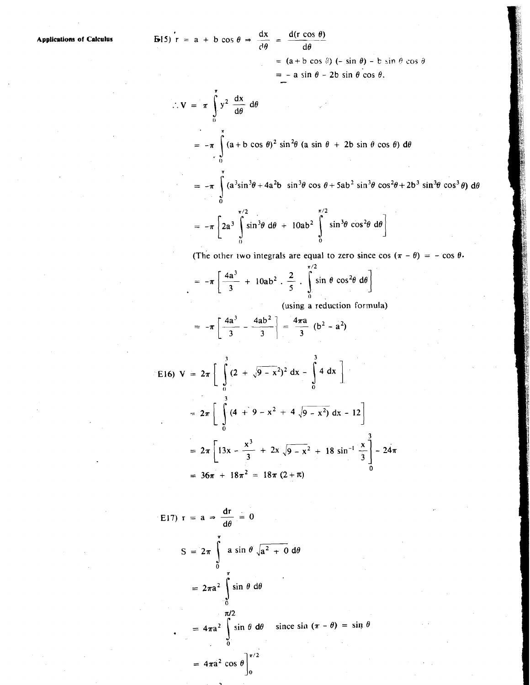**Applications of Calculus** 

**(b**15) 
$$
\mathbf{r} = \mathbf{a} + \mathbf{b} \cos \theta \Rightarrow \frac{dx}{d\theta} = \frac{d(\mathbf{r} \cos \theta)}{d\theta}
$$
  
=  $(\mathbf{a} + \mathbf{b} \cos \theta) (-\mathbf{b} \cos \theta)$ 

 $= -a \sin \theta - 2b \sin \theta \cos \theta$ .

 $\sin \theta$ ) – b  $\sin \theta \cos \theta$ 

$$
\therefore \mathbf{V} = \pi \int_{0}^{\pi} y^{2} \frac{dx}{d\theta} d\theta
$$
  
=  $-\pi \int_{0}^{\pi} (a + b \cos \theta)^{2} \sin^{2} \theta (a \sin \theta + 2b \sin \theta \cos \theta) d\theta$ 

=  $-\pi \int_{0}^{1} (a^3 \sin^3 \theta + 4a^2 b \sin^3 \theta \cos \theta + 5ab^2 \sin^3 \theta \cos^2 \theta + 2b^3 \sin^3 \theta \cos^3 \theta) d\theta$ 

$$
= -\pi \left[2a^3 \int_0^{\pi/2} \sin^3\theta \ d\theta + 10ab^2 \int_0^{\pi/2} \sin^3\theta \cos^2\theta \ d\theta \right]
$$

(The other two integrals are equal to zero since cos  $(\pi - \theta) = -\cos \theta$ .

$$
= -\pi \left[ \frac{4a^3}{3} + 10ab^2 \cdot \frac{2}{5} \cdot \int_0^{\pi/2} \sin \theta \cos^2 \theta \ d\theta \right]
$$

(using a reduction formula)

$$
= -\pi \left[ \frac{4a^3}{3} - \frac{4ab^2}{3} \right] = \frac{4\pi a}{3} (b^2 - a^2)
$$

$$
E16) V = 2\pi \left[ \int_{0}^{3} (2 + \sqrt{9 - x^{2}})^{2} dx - \int_{0}^{3} 4 dx \right]
$$
  
=  $2\pi \left[ \int_{0}^{3} (4 + 9 - x^{2} + 4 \sqrt{9 - x^{2}}) dx - 12 \right]$   
=  $2\pi \left[ 13x - \frac{x^{3}}{3} + 2x \sqrt{9 - x^{2}} + 18 \sin^{-1} \frac{x}{3} \right] - 24\pi$   
=  $36\pi + 18\pi^{2} = 18\pi (2 + \pi)$ 

$$
E17) r = a \Rightarrow \frac{dr}{d\theta} = 0
$$
  

$$
S = 2\pi \int_{0}^{\pi} a \sin \theta \sqrt{a^2 + 0} d\theta
$$
  

$$
= 2\pi a^2 \int_{0}^{\pi} \sin \theta d\theta
$$
  

$$
= 4\pi a^2 \int_{0}^{\pi/2} \sin \theta d\theta \quad \text{since } \sin (\pi - \theta) = \sin \theta
$$
  

$$
= 4\pi a^2 \cos \theta \Big]_{0}^{\pi/2}
$$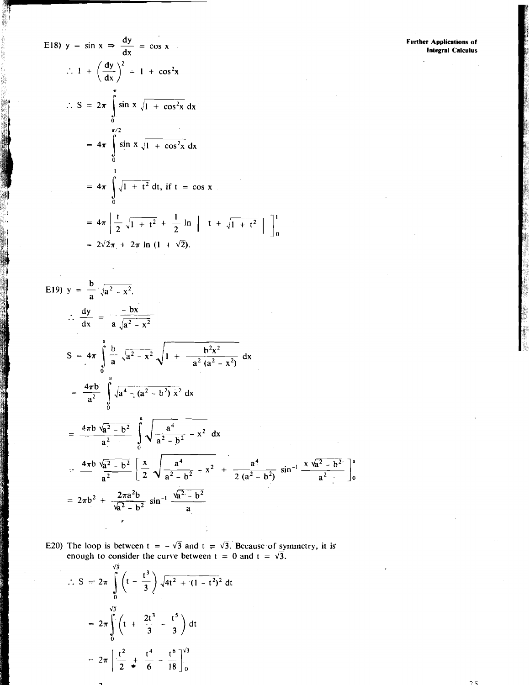**Further Applications of**<br>Integral Calculus

E18) 
$$
y = \sin x \Rightarrow \frac{dy}{dx} = \cos x
$$
  
\n
$$
\therefore 1 + \left(\frac{dy}{dx}\right)^2 = 1 + \cos^2 x
$$
\n
$$
\therefore S = 2\pi \int_0^{\pi} \sin x \sqrt{1 + \cos^2 x} dx
$$
\n
$$
= 4\pi \int_0^{\frac{\pi}{2}} \sin x \sqrt{1 + \cos^2 x} dx
$$
\n
$$
= 4\pi \int_0^1 \sqrt{1 + t^2} dt, \text{ if } t = \cos x
$$
\n
$$
= 4\pi \left[ \frac{t}{2} \sqrt{1 + t^2} + \frac{1}{2} \ln \right] t + \sqrt{1 + t^2}
$$
\n
$$
= 2\sqrt{2}\pi + 2\pi \ln (1 + \sqrt{2}).
$$

E19) 
$$
y = \frac{b}{a} \sqrt{a^2 - x^2}
$$
  
\n
$$
\frac{dy}{dx} = \frac{-bx}{a\sqrt{a^2 - x^2}}
$$
\n
$$
S = 4\pi \int_0^a \frac{b}{a} \sqrt{a^2 - x^2} \sqrt{1 + \frac{b^2x^2}{a^2(a^2 - x^2)}} dx
$$
\n
$$
= \frac{4\pi b}{a^2} \int_0^a \sqrt{a^4 - (a^2 - b^2)} x^2 dx
$$
\n
$$
= \frac{4\pi b \sqrt{a^2 - b^2}}{a^2} \int_0^a \sqrt{\frac{a^4}{a^2 - b^2} - x^2} dx
$$
\n
$$
= \frac{4\pi b \sqrt{a^2 - b^2}}{a^2} \left[ \frac{x}{2} \sqrt{\frac{a^4}{a^2 - b^2} - x^2} + \frac{a^4}{2(a^2 - b^2)} \sin^{-1} \frac{x \sqrt{a^2 - b^2}}{a^2} \right]_0^a
$$
\n
$$
= 2\pi b^2 + \frac{2\pi a^2 b}{\sqrt{a^2 - b^2}} \sin^{-1} \frac{\sqrt{a^2 - b^2}}{a}
$$

 $\begin{bmatrix} 1 \\ 0 \end{bmatrix}$ 

E20) The loop is between  $t = -\sqrt{3}$  and  $t = \sqrt{3}$ . Because of symmetry, it is<br>enough to consider the curve between  $t = 0$  and  $t = \sqrt{3}$ .

$$
\therefore S = 2\pi \int_{0}^{\sqrt{3}} \left( t - \frac{t^3}{3} \right) \sqrt{4t^2 + (1 - t^2)^2} dt
$$

$$
= 2\pi \int_{0}^{\sqrt{3}} \left( t + \frac{2t^3}{3} - \frac{t^5}{3} \right) dt
$$

$$
= 2\pi \left[ \frac{t^2}{2} + \frac{t^4}{6} - \frac{t^6}{18} \right]_{0}^{\sqrt{3}}
$$

J.

75.